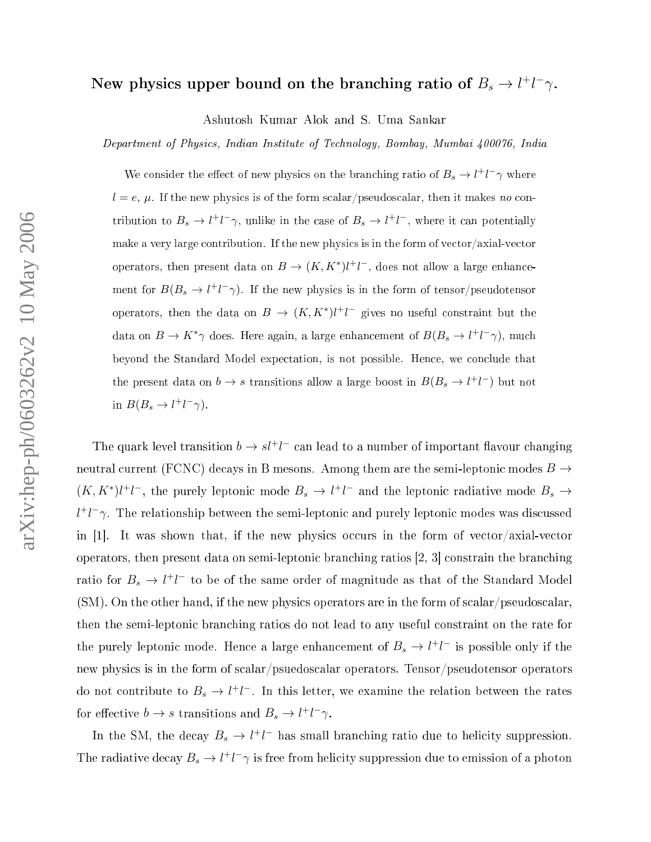## New physics upper bound on the branching ratio of  $B_s \to l^+l^-\gamma$ .

Ashutosh Kumar Alok and S. Uma Sankar

Department of Physics, Indian Institute of Technology, Bombay, Mumbai 400076, India

We consider the effect of new physics on the branching ratio of  $B_s \to l^+l^-\gamma$  where  $l = e, \, \mu$ . If the new physics is of the form scalar/pseudoscalar, then it makes no contribution to  $B_s \to l^+l^-\gamma$ , unlike in the case of  $B_s \to l^+l^-$ , where it can potentially s is in the form of the new physical contribution. If the form of very state and the form of very state of very operators, then present data on  $B \to (K, K^*)l^+l^-$ , does not allow a large enhancement for  $B(B_s \to l^+l^-\gamma)$ . If the new physics is in the form of tensor/pseudotensor operators, then the data on  $B \to (K, K^*)l^+l^-$  gives no useful constraint but the data on  $B \to K^*\gamma$  does. Here again, a large enhancement of  $B(B_s \to l^+l^-\gamma)$ , much beyond the Standard Model expe
tation, is not possible. Hen
e, we on
lude that the present data on  $b \to s$  transitions allow a large boost in  $B(B_s \to l^+l^-)$  but not in  $B(B_s \to l^+l^-\gamma)$ .

The quark level transition  $b \to s l^+ l^-$  can lead to a number of important flavour changing neutral current (FCNC) decays in B mesons. Among them are the semi-leptonic modes  $B\to$  $(K, K^*)$ l<sup>+</sup>l<sup>-</sup>, the purely leptonic mode  $B_s \to l^+l^-$  and the leptonic radiative mode  $B_s \to l^-l^$  $l^{+}l^{-}\gamma$ . The relationship between the semi-leptonic and purely leptonic modes was discussed in [1]. It was shown that, if the new physics occurs in the form of vector/axial-vector operators, then present data on semi-leptonic branching ratios  $(2, 3)$  constrain the branching ratio for  $B_s \to l^+l^-$  to be of the same order of magnitude as that of the Standard Model (SM). On the other hand, if the new physics operators are in the form of scalar/pseudoscalar, then the semi-leptonic branching ratios do not lead to any useful constraint on the rate for the purely leptonic mode. Hence a large enhancement of  $B_s \to l^+l^-$  is possible only if the new physics is in the form of scalar/psuedoscalar operators. Tensor/pseudotensor operators do not contribute to  $B_s \to l^+l^-$ . In this letter, we examine the relation between the rates for effective  $b \to s$  transitions and  $B_s \to l^+l^-\gamma$ .

In the SM, the decay  $B_s \to l^+l^-$  has small branching ratio due to helicity suppression. The radiative decay  $B_s \to l^+l^- \gamma$  is free from helicity suppression due to emission of a photon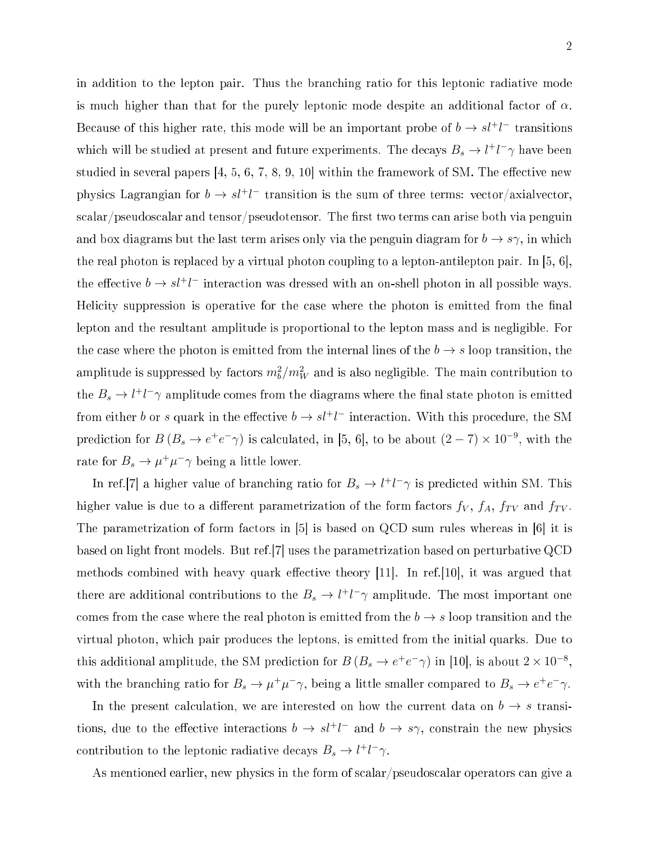in addition to the lepton pair. Thus the bran
hing ratio for this leptoni radiative mode is much higher than that for the purely leptonic mode despite an additional factor of  $\alpha$ . Because of this higher rate, this mode will be an important probe of  $b \to s l^+ l^-$  transitions which will be studied at present and future experiments. The decays  $B_s \to l^+l^- \gamma$  have been studied in several papers  $[4, 5, 6, 7, 8, 9, 10]$  within the framework of SM. The effective new physics Lagrangian for  $b \to s l^+ l^-$  transition is the sum of three terms: vector/axialvector, scalar/pseudoscalar and tensor/pseudotensor. The first two terms can arise both via penguin and box diagrams but the last term arises only via the penguin diagram for  $b \to s\gamma$ , in which the real photon is replaced by a virtual photon coupling to a lepton-antilepton pair. In  $[5, 6]$ , the effective  $b \to s l^+ l^-$  interaction was dressed with an on-shell photon in all possible ways. Helicity suppression is operative for the case where the photon is emitted from the final lepton and the resultant amplitude is proportional to the lepton mass and is negligible. For the case where the photon is emitted from the internal lines of the  $b \rightarrow s$  loop transition, the amplitude is suppressed by factors  $m_b^2/m_W^2$  and is also negligible. The main contribution to the  $B_s \to l^+l^- \gamma$  amplitude comes from the diagrams where the final state photon is emitted from either b or s quark in the effective  $b \to s l^+ l^-$  interaction. With this procedure, the SM prediction for  $B(B_s \to e^+e^-\gamma)$  is calculated, in [5, 6], to be about  $(2-7) \times 10^{-9}$ , with the rate for  $B_s \to \mu^+ \mu^- \gamma$  being a little lower.

In ref.[7] a higher value of branching ratio for  $B_s \to l^+l^-\gamma$  is predicted within SM. This higher value is due to a different parametrization of the form factors  $f_V$ ,  $f_A$ ,  $f_{TV}$  and  $f_{TV}$ . The parametrization of form factors in  $[5]$  is based on QCD sum rules whereas in  $[6]$  it is based on light front models. But ref.[7] uses the parametrization based on perturbative QCD methods combined with heavy quark effective theory  $[11]$ . In ref. [10], it was argued that there are additional contributions to the  $B_s \to l^+l^- \gamma$  amplitude. The most important one comes from the case where the real photon is emitted from the  $b \to s$  loop transition and the virtual photon, whi
h pair produ
es the leptons, is emitted from the initial quarks. Due to this additional amplitude, the SM prediction for  $B(B_s \to e^+e^-\gamma)$  in [10], is about  $2 \times 10^{-8}$ , with the branching ratio for  $B_s \to \mu^+ \mu^- \gamma$ , being a little smaller compared to  $B_s \to e^+ e^- \gamma$ .

In the present calculation, we are interested on how the current data on  $b \to s$  transitions, due to the effective interactions  $b \to s l^+ l^-$  and  $b \to s \gamma$ , constrain the new physics contribution to the leptonic radiative decays  $B_s \to l^+l^-\gamma$ .

As mentioned earlier, new physics in the form of scalar/pseudoscalar operators can give a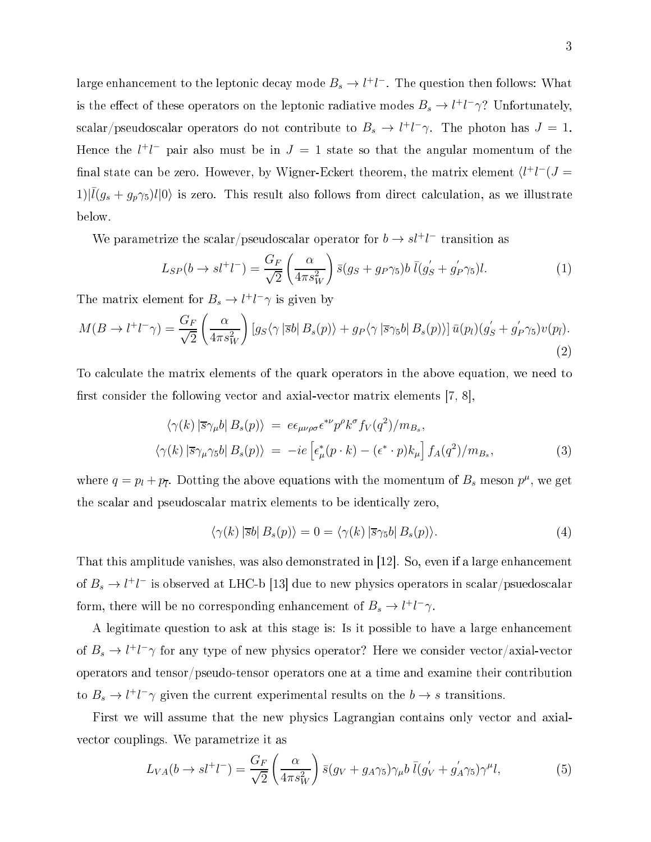large enhancement to the leptonic decay mode  $B_s \to l^+ l^-$ . The question then follows: What is the effect of these operators on the leptonic radiative modes  $B_s \to l^+l^-\gamma$ ? Unfortunately, scalar/pseudoscalar operators do not contribute to  $B_s \to l^+l^-\gamma$ . The photon has  $J=1$ . Hence the  $l^+l^-$  pair also must be in  $J=1$  state so that the angular momentum of the final state can be zero. However, by Wigner-Eckert theorem, the matrix element  $\langle l^+l^-(J=$  $1\vert\vert \bar{l}(g_s+g_p\gamma_5)l\vert 0\rangle$  is zero. This result also follows from direct calculation, as we illustrate below.

We parametrize the scalar/pseudoscalar operator for  $b\to s l^+l^-$  transition as

$$
L_{SP}(b \to s l^+ l^-) = \frac{G_F}{\sqrt{2}} \left(\frac{\alpha}{4\pi s_W^2}\right) \bar{s}(g_S + g_P \gamma_5) b \bar{l}(g_S' + g_P' \gamma_5) l. \tag{1}
$$

The matrix element for  $B_s \to l^+l^-\gamma$  is given by

$$
M(B \to l^+l^- \gamma) = \frac{G_F}{\sqrt{2}} \left( \frac{\alpha}{4\pi s_W^2} \right) \left[ g_S \langle \gamma | \overline{s} b | B_s(p) \rangle + g_P \langle \gamma | \overline{s} \gamma_5 b | B_s(p) \rangle \right] \overline{u}(p_l) (g_S' + g_P' \gamma_5) v(p_{\overline{l}}).
$$
\n(2)

To calculate the matrix elements of the quark operators in the above equation, we need to first consider the following vector and axial-vector matrix elements  $[7, 8]$ ,

$$
\langle \gamma(k) | \overline{s} \gamma_{\mu} b | B_s(p) \rangle = e \epsilon_{\mu \nu \rho \sigma} \epsilon^{*\nu} p^{\rho} k^{\sigma} f_V(q^2) / m_{B_s},
$$
  

$$
\langle \gamma(k) | \overline{s} \gamma_{\mu} \gamma_5 b | B_s(p) \rangle = -ie \left[ \epsilon_{\mu}^*(p \cdot k) - (\epsilon^* \cdot p) k_{\mu} \right] f_A(q^2) / m_{B_s},
$$
 (3)

where  $q = p_l + p_{\overline{l}}$ . Dotting the above equations with the momentum of  $B_s$  meson  $p^{\mu}$ , we get the s
alar and pseudos
alar matrix elements to be identi
ally zero,

$$
\langle \gamma(k) | \bar{s}b | B_s(p) \rangle = 0 = \langle \gamma(k) | \bar{s} \gamma_5 b | B_s(p) \rangle. \tag{4}
$$

That this amplitude vanishes, was also demonstrated in  $[12]$ . So, even if a large enhancement of  $B_s\to l^+l^-$  is observed at LHC-b [13] due to new physics operators in scalar/psuedoscalar form, there will be no corresponding enhancement of  $B_s \to l^+l^-\gamma$ .

A legitimate question to ask at this stage is: Is it possible to have a large enhan
ement of  $B_s \to l^+l^-\gamma$  for any type of new physics operator? Here we consider vector/axial-vector operators and tensor/pseudo-tensor operators one at a time and examine their ontribution to  $B_s \to l^+l^- \gamma$  given the current experimental results on the  $b \to s$  transitions.

First we will assume that the new physics Lagrangian contains only vector and axialve
tor ouplings. We parametrize it as

$$
L_{VA}(b \to sl^+l^-) = \frac{G_F}{\sqrt{2}} \left(\frac{\alpha}{4\pi s_W^2}\right) \bar{s}(g_V + g_A \gamma_5) \gamma_\mu b \bar{l}(g_V^{'} + g_A^{'} \gamma_5) \gamma^\mu l,\tag{5}
$$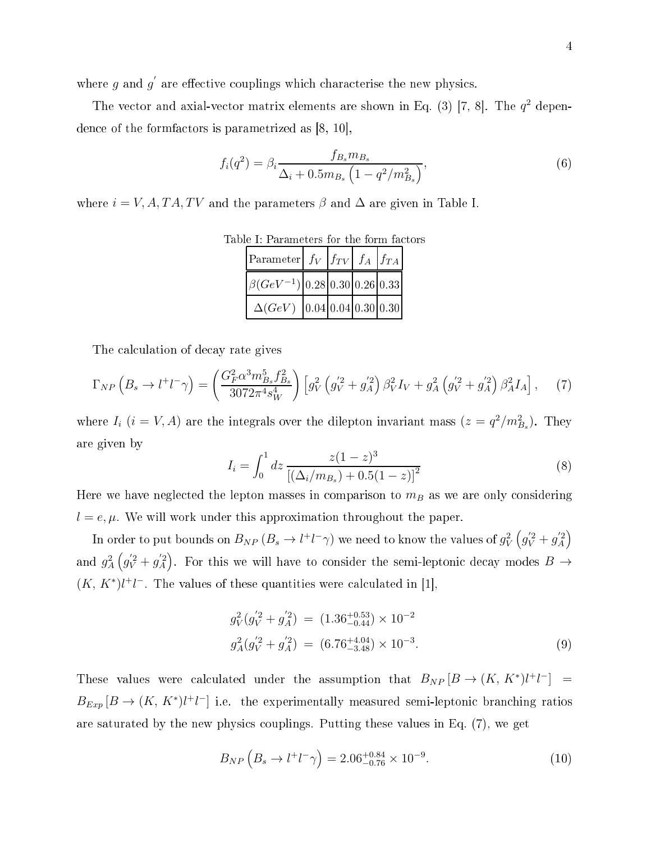where  $g$  and  $g'$ are the new physiologic contracts which is the new physical properties of the new physical properties of the n

The vector and axial-vector matrix elements are shown in Eq. (3) [7, 8]. The  $q^2$  dependence of the formfactors is parametrized as  $[8, 10]$ ,

$$
f_i(q^2) = \beta_i \frac{f_{B_s} m_{B_s}}{\Delta_i + 0.5 m_{B_s} \left(1 - q^2 / m_{B_s}^2\right)},
$$
\n(6)

where  $i = V, A, TA, TV$  and the parameters  $\beta$  and  $\Delta$  are given in Table I.

| Parameter $f_V$ $f_{TV}$ $f_A$ $f_{TA}$                                          |  |  |  |  |
|----------------------------------------------------------------------------------|--|--|--|--|
| $\left[\beta(GeV^{-1})\right]$ 0.28 $\left[0.30\right]$ 0.26 $\left[0.33\right]$ |  |  |  |  |
| $\Delta(GeV)$ 0.04 0.04 0.30 0.30                                                |  |  |  |  |

Table I: Parameters for the form factors Table I: Parameters for the form fa
tors

The calculation of decay rate gives

$$
\Gamma_{NP} \left( B_s \to l^+l^- \gamma \right) = \left( \frac{G_F^2 \alpha^3 m_{Bs}^5 f_{Bs}^2}{3072 \pi^4 s_W^4} \right) \left[ g_V^2 \left( g_V^{'2} + g_A^{'2} \right) \beta_V^2 I_V + g_A^2 \left( g_V^{'2} + g_A^{'2} \right) \beta_A^2 I_A \right], \tag{7}
$$

where  $I_i$   $(i = V, A)$  are the integrals over the dilepton invariant mass  $(z = q^2/m_{B_s}^2)$ . They are given by

$$
I_i = \int_0^1 dz \, \frac{z(1-z)^3}{\left[ (\Delta_i/m_{B_s}) + 0.5(1-z) \right]^2} \tag{8}
$$

Here we have neglected the lepton masses in comparison to  $m_B$  as we are only considering  $l = e, \mu$ . We will work under this approximation throughout the paper.

In order to put bounds on  $B_{NP}\left(B_s\to l^+l^-\gamma\right)$  we need to know the values of  $g_V^2\left(g_V^{'2}+g_A^{'2}\right)$ and  $g_A^2(g_V^{'2} + g_A^{'2})$ . For this we will have to consider the semi-leptonic decay modes  $B \to$  $(K, K^*)$ l<sup>+</sup>l<sup>-</sup>. The values of these quantities were calculated in [1],

$$
g_V^2(g_V^{'2} + g_A^{'2}) = (1.36^{+0.53}_{-0.44}) \times 10^{-2}
$$
  

$$
g_A^2(g_V^{'2} + g_A^{'2}) = (6.76^{+4.04}_{-3.48}) \times 10^{-3}.
$$
 (9)

These values were calculated under the assumption that  $B_{NP}[B \to (K, K^*)l^+l^-] =$  $B_{Exp}[B \to (K, K^*)l^+l^-]$  i.e. the experimentally measured semi-leptonic branching ratios are saturated by the new physi
s ouplings. Putting these values in Eq. (7), we get

$$
B_{NP}\left(B_s \to l^+l^-\gamma\right) = 2.06^{+0.84}_{-0.76} \times 10^{-9}.\tag{10}
$$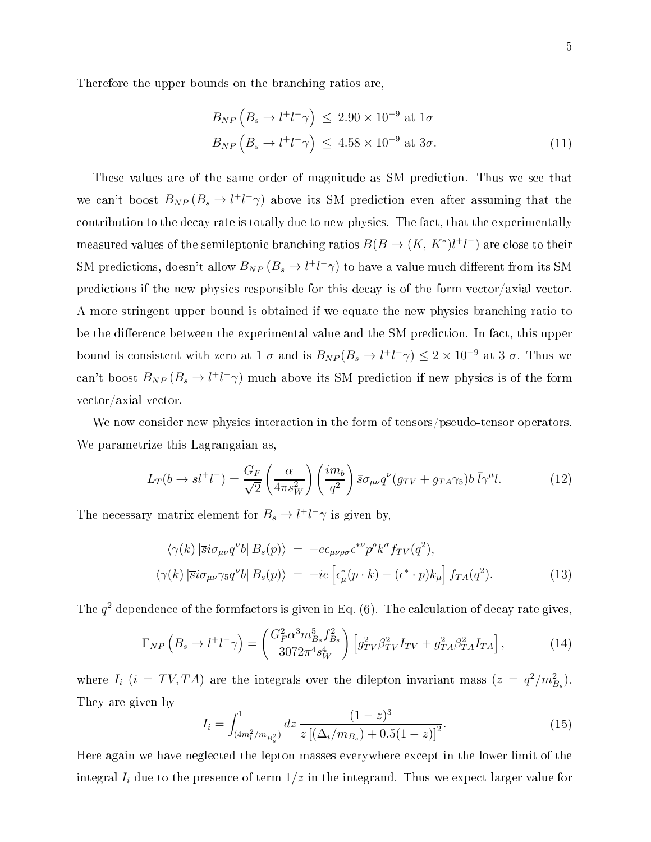Therefore the upper bounds on the bran
hing ratios are,

$$
B_{NP} (B_s \to l^+l^- \gamma) \le 2.90 \times 10^{-9} \text{ at } 1\sigma
$$
  
\n
$$
B_{NP} (B_s \to l^+l^- \gamma) \le 4.58 \times 10^{-9} \text{ at } 3\sigma.
$$
\n(11)

These values are of the same order of magnitude as SM predi
tion. Thus we see that we can't boost  $B_{NP}(B_s \to l^+l^-\gamma)$  above its SM prediction even after assuming that the contribution to the decay rate is totally due to new physics. The fact, that the experimentally measured values of the semileptonic branching ratios  $B(B \to (K, \, K^*) l^+ l^-)$  are close to their SM predictions, doesn't allow  $B_{NP}(B_s \to l^+l^-\gamma)$  to have a value much different from its SM predictions if the new physics responsible for this decay is of the form vector/axial-vector. A more stringent upper bound is obtained if we equate the new physics branching ratio to be the difference between the experimental value and the SM prediction. In fact, this upper bound is consistent with zero at 1  $\sigma$  and is  $B_{NP}(B_s \to l^+l^-\gamma) \leq 2 \times 10^{-9}$  at 3  $\sigma$ . Thus we can't boost  $B_{NP}(B_s \to l^+l^-\gamma)$  much above its SM prediction if new physics is of the form ve
tor/axial-ve
tor.

We now consider new physics interaction in the form of tensors/pseudo-tensor operators. We parametrize this Lagrangaian as,

$$
L_T(b \to s l^+ l^-) = \frac{G_F}{\sqrt{2}} \left(\frac{\alpha}{4\pi s_W^2}\right) \left(\frac{im_b}{q^2}\right) \bar{s} \sigma_{\mu\nu} q^{\nu} (g_{TV} + g_{TA} \gamma_5) b \bar{l} \gamma^{\mu} l. \tag{12}
$$

The necessary matrix element for  $B_s \to l^+l^-\gamma$  is given by,

$$
\langle \gamma(k) | \overline{s} i \sigma_{\mu\nu} q^{\nu} b | B_s(p) \rangle = -e \epsilon_{\mu\nu\rho\sigma} \epsilon^{*\nu} p^{\rho} k^{\sigma} f_{TV}(q^2),
$$
  

$$
\langle \gamma(k) | \overline{s} i \sigma_{\mu\nu} \gamma_5 q^{\nu} b | B_s(p) \rangle = -ie \left[ \epsilon_{\mu}^*(p \cdot k) - (\epsilon^* \cdot p) k_{\mu} \right] f_{TA}(q^2).
$$
 (13)

The  $q^2$  dependence of the formfactors is given in Eq. (6). The calculation of decay rate gives,

$$
\Gamma_{NP} \left( B_s \to l^+l^- \gamma \right) = \left( \frac{G_F^2 \alpha^3 m_{B_s}^5 f_{B_s}^2}{3072 \pi^4 s_W^4} \right) \left[ g_{TV}^2 \beta_{TV}^2 I_{TV} + g_{TA}^2 \beta_{TA}^2 I_{TA} \right], \tag{14}
$$

where  $I_i$  ( $i = TV, TA$ ) are the integrals over the dilepton invariant mass ( $z = q^2/m_{B_s}^2$ ). They are given by

$$
I_i = \int_{(4m_l^2/m_{B_s^2})}^{1} dz \, \frac{(1-z)^3}{z \left[ (\Delta_i/m_{B_s}) + 0.5(1-z) \right]^2}.
$$
 (15)

Here again we have negle
ted the lepton masses everywhere ex
ept in the lower limit of the integral  $I_i$  due to the presence of term  $1/z$  in the integrand. Thus we expect larger value for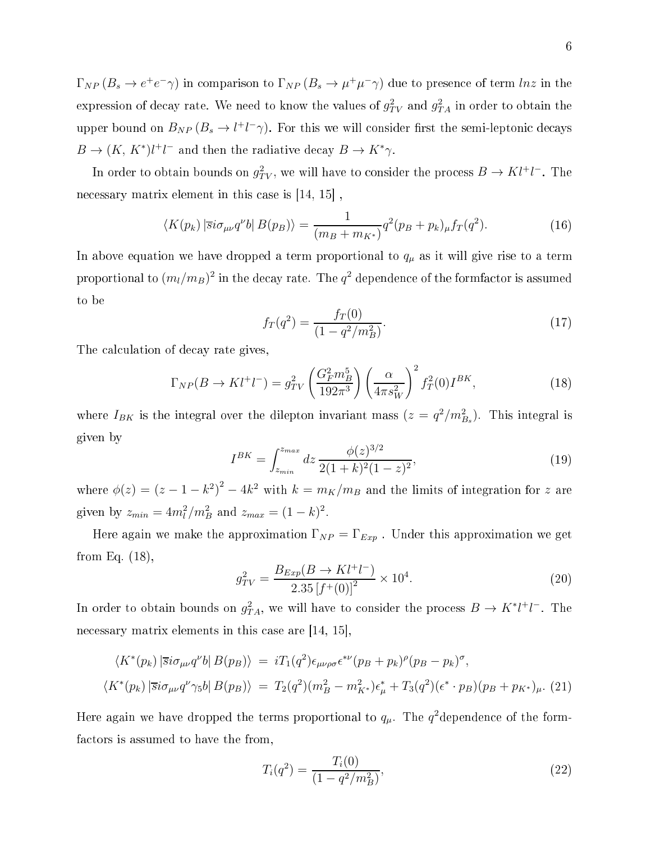$\Gamma_{NP}(B_s \to e^+e^-\gamma)$  in comparison to  $\Gamma_{NP}(B_s \to \mu^+\mu^-\gamma)$  due to presence of term  $ln z$  in the expression of decay rate. We need to know the values of  $g_{TV}^2$  and  $g_{TA}^2$  in order to obtain the upper bound on  $B_{NP}(B_s \to l^+l^-\gamma)$ . For this we will consider first the semi-leptonic decays  $B \to (K, K^*)l^+l^-$  and then the radiative decay  $B \to K^* \gamma$ .

In order to obtain bounds on  $g_{TV}^2$ , we will have to consider the process  $B \to K l^+ l^-$ . The necessary matrix element in this case is  $[14, 15]$ ,

$$
\langle K(p_k) \left| \overline{s} i \sigma_{\mu\nu} q^{\nu} b \right| B(p_B) \rangle = \frac{1}{(m_B + m_{K^*})} q^2 (p_B + p_k)_{\mu} f_T(q^2). \tag{16}
$$

In above equation we have dropped a term proportional to  $q_{\mu}$  as it will give rise to a term proportional to  $(m_l/m_B)^2$  in the decay rate. The  $q^2$  dependence of the formfactor is assumed to be

$$
f_T(q^2) = \frac{f_T(0)}{(1 - q^2/m_B^2)}.\tag{17}
$$

The calculation of decay rate gives,

$$
\Gamma_{NP}(B \to K l^+ l^-) = g_{TV}^2 \left(\frac{G_F^2 m_B^5}{192\pi^3}\right) \left(\frac{\alpha}{4\pi s_W^2}\right)^2 f_T^2(0) I^{BK},\tag{18}
$$

where  $I_{BK}$  is the integral over the dilepton invariant mass  $(z = q^2/m_{Bs}^2)$ . This integral is given by

$$
I^{BK} = \int_{z_{min}}^{z_{max}} dz \, \frac{\phi(z)^{3/2}}{2(1+k)^2(1-z)^2},\tag{19}
$$

where  $\phi(z) = (z - 1 - k^2)^2 - 4k^2$  with  $k = m_K/m_B$  and the limits of integration for z are given by  $z_{min} = 4m_l^2/m_B^2$  and  $z_{max} = (1 - k)^2$ .

Here again we make the approximation  $\Gamma_{NP} = \Gamma_{Exp}$ . Under this approximation we get from Eq. (18),

$$
g_{TV}^2 = \frac{B_{Exp}(B \to K l^+ l^-)}{2.35 \left[f^+(0)\right]^2} \times 10^4. \tag{20}
$$

In order to obtain bounds on  $g_{TA}^2$ , we will have to consider the process  $B \to K^* l^+ l^-$ . The necessary matrix elements in this case are [14, 15].

$$
\langle K^*(p_k) | \overline{s} i \sigma_{\mu\nu} q^{\nu} b | B(p_B) \rangle = i T_1(q^2) \epsilon_{\mu\nu\rho\sigma} \epsilon^{*\nu} (p_B + p_k)^{\rho} (p_B - p_k)^{\sigma},
$$
  

$$
\langle K^*(p_k) | \overline{s} i \sigma_{\mu\nu} q^{\nu} \gamma_5 b | B(p_B) \rangle = T_2(q^2) (m_B^2 - m_{K^*}^2) \epsilon_{\mu}^* + T_3(q^2) (\epsilon^* \cdot p_B) (p_B + p_{K^*})_{\mu}.
$$
 (21)

Here again we have dropped the terms proportional to  $q_{\mu}.$  The  $q^2$ dependence of the formfactors is assumed to have the from,

$$
T_i(q^2) = \frac{T_i(0)}{(1 - q^2/m_B^2)},\tag{22}
$$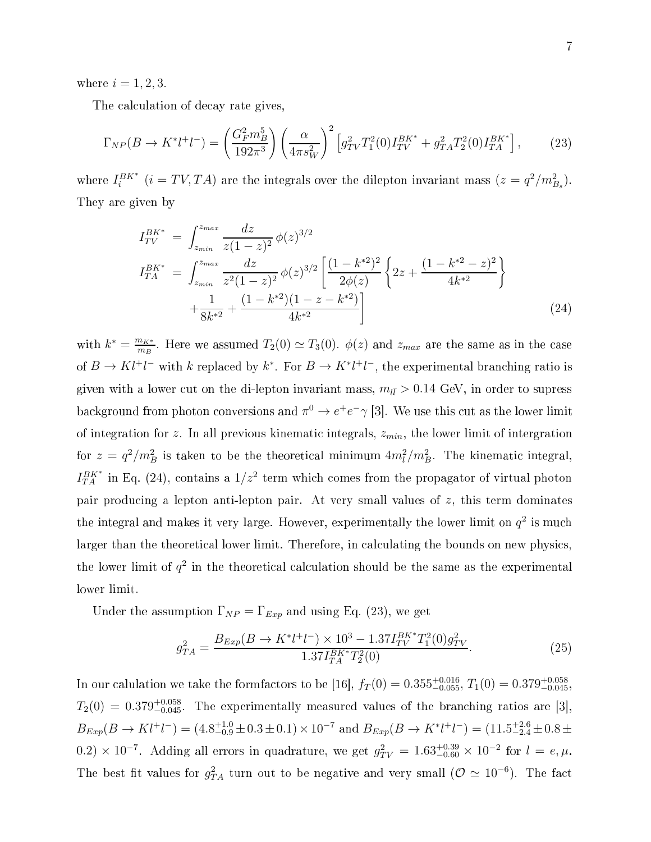where  $i = 1, 2, 3$ .

The calculation of decay rate gives,

$$
\Gamma_{NP}(B \to K^* l^+ l^-) = \left(\frac{G_F^2 m_B^5}{192\pi^3}\right) \left(\frac{\alpha}{4\pi s_W^2}\right)^2 \left[g_{TV}^2 T_1^2(0) I_{TV}^{BK*} + g_{TA}^2 T_2^2(0) I_{TA}^{BK*}\right],\tag{23}
$$

where  $I_i^{BK^*}$   $(i = TV, TA)$  are the integrals over the dilepton invariant mass  $(z = q^2/m_{B_s}^2)$ . They are given by

$$
I_{TV}^{BK^*} = \int_{z_{min}}^{z_{max}} \frac{dz}{z(1-z)^2} \phi(z)^{3/2}
$$
  
\n
$$
I_{TA}^{BK^*} = \int_{z_{min}}^{z_{max}} \frac{dz}{z^2(1-z)^2} \phi(z)^{3/2} \left[ \frac{(1-k^{*2})^2}{2\phi(z)} \left\{ 2z + \frac{(1-k^{*2}-z)^2}{4k^{*2}} \right\} + \frac{1}{8k^{*2}} + \frac{(1-k^{*2})(1-z-k^{*2})}{4k^{*2}} \right]
$$
\n(24)

with  $k^* = \frac{m_{K^*}}{m_R}$  $\frac{m_{K^*}}{m_B}$ . Here we assumed  $T_2(0) \simeq T_3(0)$ .  $\phi(z)$  and  $z_{max}$  are the same as in the case of  $B \to K l^+ l^-$  with k replaced by  $k^*$ . For  $B \to K^* l^+ l^-$ , the experimental branching ratio is given with a lower cut on the di-lepton invariant mass,  $m_{l\bar{l}} > 0.14$  GeV, in order to supress background from photon conversions and  $\pi^0 \to e^+e^- \gamma$  [3]. We use this cut as the lower limit of integration for z. In all previous kinematic integrals,  $z_{min}$ , the lower limit of intergration for  $z = q^2/m_B^2$  is taken to be the theoretical minimum  $4m_l^2/m_B^2$ . The kinematic integral,  $I_{TA}^{BK*}$  in Eq. (24), contains a  $1/z^2$  term which comes from the propagator of virtual photon pair producing a lepton anti-lepton pair. At very small values of z, this term dominates the integral and makes it very large. However, experimentally the lower limit on  $q^2$  is much larger than the theoretical lower limit. Therefore, in calculating the bounds on new physics, the lower limit of  $q^2$  in the theoretical calculation should be the same as the experimental lower limit.

Under the assumption  $\Gamma_{NP} = \Gamma_{Exp}$  and using Eq. (23), we get

$$
g_{TA}^2 = \frac{B_{Exp}(B \to K^* l^+ l^-) \times 10^3 - 1.37 I_{TV}^{BK*} T_1^2(0) g_{TV}^2}{1.37 I_{TA}^{BK*} T_2^2(0)}.
$$
\n(25)

In our calulation we take the formfactors to be [16],  $f_T(0) = 0.355^{+0.016}_{-0.055}$ ,  $T_1(0) = 0.379^{+0.058}_{-0.045}$ ,  $T_2(0) \, = \, 0.379^{+0.058}_{-0.045}$ . The experimentally measured values of the branching ratios are [3],  $B_{Exp}(B \to Kl^+l^-) = (4.8^{+1.0}_{-0.9} \pm 0.3 \pm 0.1) \times 10^{-7}$  and  $B_{Exp}(B \to K^*l^+l^-) = (11.5^{+2.6}_{-2.4} \pm 0.8 \pm 0.1)$ 0.2) × 10<sup>-7</sup>. Adding all errors in quadrature, we get  $g_{TV}^2 = 1.63_{-0.60}^{+0.39} \times 10^{-2}$  for  $l = e, \mu$ . The best fit values for  $g_{TA}^2$  turn out to be negative and very small  $(\mathcal{O} \simeq 10^{-6})$ . The fact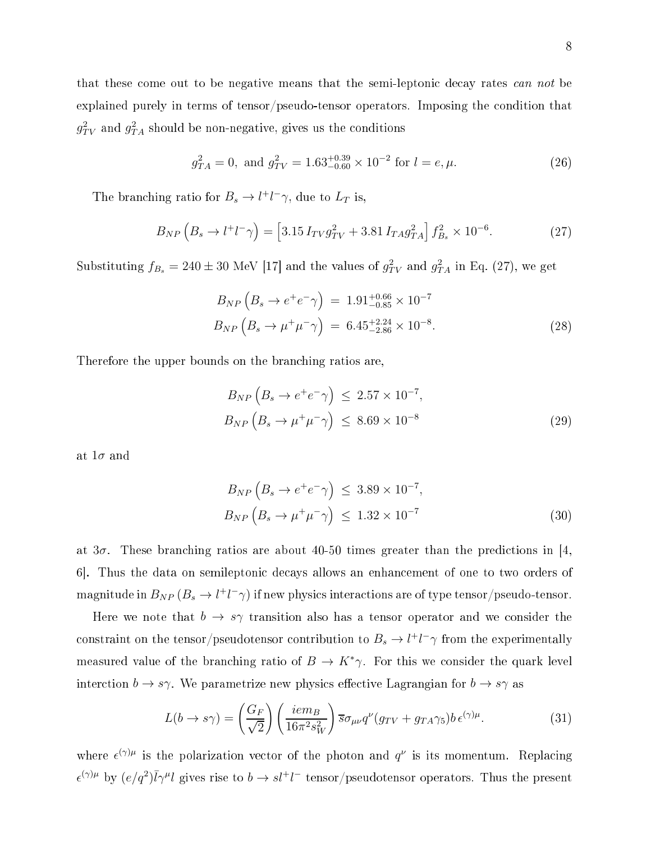that these come out to be negative means that the semi-leptonic decay rates can not be explained purely in terms of tensor/pseudo-tensor operators. Imposing the condition that  $g_{TV}^2$  and  $g_{TA}^2$  should be non-negative, gives us the conditions

$$
g_{TA}^2 = 0
$$
, and  $g_{TV}^2 = 1.63^{+0.39}_{-0.60} \times 10^{-2}$  for  $l = e, \mu$ . (26)

The branching ratio for  $B_s \to l^+l^-\gamma$ , due to  $L_T$  is,

$$
B_{NP}\left(B_s \to l^+l^-\gamma\right) = \left[3.15\,I_{TV}g_{TV}^2 + 3.81\,I_{TA}g_{TA}^2\right]f_{B_s}^2 \times 10^{-6}.\tag{27}
$$

Substituting  $f_{B_s} = 240 \pm 30$  MeV [17] and the values of  $g_{TV}^2$  and  $g_{TA}^2$  in Eq. (27), we get

$$
B_{NP} \left( B_s \to e^+ e^- \gamma \right) = 1.91^{+0.66}_{-0.85} \times 10^{-7}
$$
  
\n
$$
B_{NP} \left( B_s \to \mu^+ \mu^- \gamma \right) = 6.45^{+2.24}_{-2.86} \times 10^{-8}.
$$
\n(28)

Therefore the upper bounds on the bran
hing ratios are,

$$
B_{NP}\left(B_s \to e^+e^-\gamma\right) \le 2.57 \times 10^{-7},
$$
  
\n
$$
B_{NP}\left(B_s \to \mu^+\mu^-\gamma\right) \le 8.69 \times 10^{-8}
$$
\n(29)

at  $1\sigma$  and

$$
B_{NP}\left(B_s \to e^+e^-\gamma\right) \le 3.89 \times 10^{-7},
$$
  
\n
$$
B_{NP}\left(B_s \to \mu^+\mu^-\gamma\right) \le 1.32 \times 10^{-7}
$$
\n(30)

at  $3\sigma$ . These branching ratios are about 40-50 times greater than the predictions in [4,] 6. Thus the data on semileptonic decays allows an enhancement of one to two orders of  ${\rm magnitude~in}~B_{NP}\left(B_s\to l^+l^-\gamma\right){\rm if}~{\rm new~physics~interactions~are~of~type~tensor/pseudo-tensor}.$ 

Here we note that  $b \to s\gamma$  transition also has a tensor operator and we consider the  $\text{constraint on the tensor}/\text{pseudo}t$ ensor contribution to  $B_s \to l^+l^-\gamma$  from the experimentally measured value of the branching ratio of  $B \to K^*\gamma$ . For this we consider the quark level interction  $b \to s\gamma$ . We parametrize new physics effective Lagrangian for  $b \to s\gamma$  as

$$
L(b \to s\gamma) = \left(\frac{G_F}{\sqrt{2}}\right) \left(\frac{iem_B}{16\pi^2 s_W^2}\right) \overline{s} \sigma_{\mu\nu} q^{\nu} (g_{TV} + g_{TA} \gamma_5) b \,\epsilon^{(\gamma)\mu}.\tag{31}
$$

where  $\epsilon^{(\gamma)\mu}$  is the polarization vector of the photon and  $q^{\nu}$  is its momentum. Replacing  $\epsilon^{(\gamma)\mu}$  by  $(e/q^2)\overline{l}\gamma^{\mu}l$  gives rise to  $b \to sl^+l^-$  tensor/pseudotensor operators. Thus the present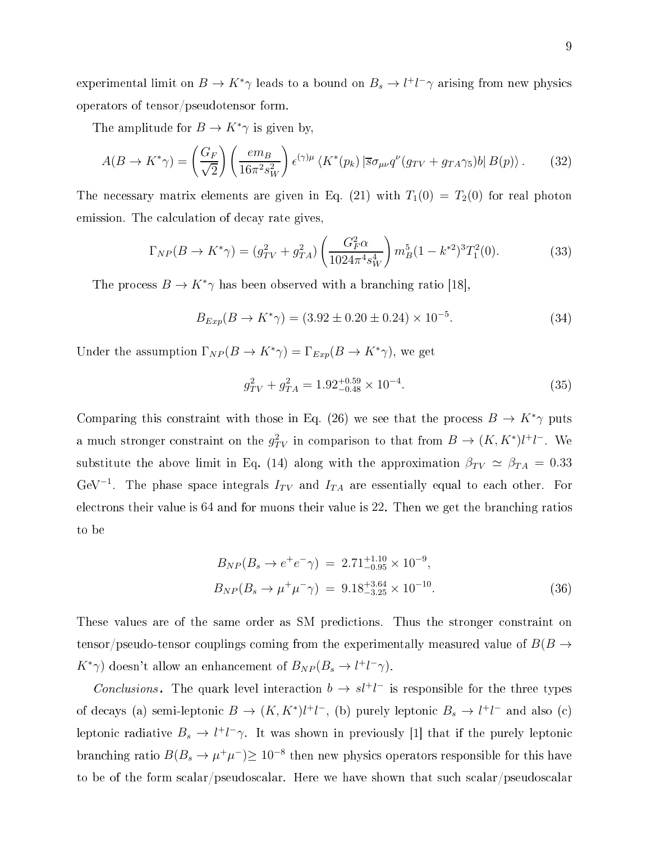experimental limit on  $B \to K^*\gamma$  leads to a bound on  $B_s \to l^+l^-\gamma$  arising from new physics operators of tensor/pseudotensor form.

The amplitude for  $B \to K^*\gamma$  is given by,

$$
A(B \to K^*\gamma) = \left(\frac{G_F}{\sqrt{2}}\right) \left(\frac{em_B}{16\pi^2 s_W^2}\right) \epsilon^{(\gamma)\mu} \left\langle K^*(p_k) \left| \overline{s}\sigma_{\mu\nu} q^\nu (g_{TV} + g_{TA}\gamma_5) b \right| B(p) \right\rangle. \tag{32}
$$

The necessary matrix elements are given in Eq. (21) with  $T_1(0) = T_2(0)$  for real photon emission. The calculation of decay rate gives,

$$
\Gamma_{NP}(B \to K^*\gamma) = (g_{TV}^2 + g_{TA}^2) \left(\frac{G_F^2 \alpha}{1024\pi^4 s_W^4}\right) m_B^5 (1 - k^{*2})^3 T_1^2(0). \tag{33}
$$

The process  $B \to K^* \gamma$  has been observed with a branching ratio [18],

$$
B_{Exp}(B \to K^*\gamma) = (3.92 \pm 0.20 \pm 0.24) \times 10^{-5}.
$$
 (34)

Under the assumption  $\Gamma_{NP}(B \to K^*\gamma) = \Gamma_{Exp}(B \to K^*\gamma)$ , we get

$$
g_{TV}^2 + g_{TA}^2 = 1.92^{+0.59}_{-0.48} \times 10^{-4}.
$$
\n(35)

Comparing this constraint with those in Eq. (26) we see that the process  $B \to K^*\gamma$  puts a much stronger constraint on the  $g_{TV}^2$  in comparison to that from  $B \to (K, K^*)l^+l^-$ . We substitute the above limit in Eq. (14) along with the approximation  $\beta_{TV} \simeq \beta_{TA} = 0.33$ GeV<sup>-1</sup>. The phase space integrals  $I_{TV}$  and  $I_{TA}$  are essentially equal to each other. For electrons their value is 64 and for muons their value is 22. Then we get the branching ratios to be

$$
B_{NP}(B_s \to e^+e^- \gamma) = 2.71^{+1.10}_{-0.95} \times 10^{-9},
$$
  
\n
$$
B_{NP}(B_s \to \mu^+ \mu^- \gamma) = 9.18^{+3.64}_{-3.25} \times 10^{-10}.
$$
\n(36)

These values are of the same order as SM predictions. Thus the stronger constraint on tensor/pseudo-tensor couplings coming from the experimentally measured value of  $B(B \to$  $K^*\gamma$ ) doesn't allow an enhancement of  $B_{NP}(B_s \to l^+l^-\gamma)$ .

Conclusions. The quark level interaction  $b \to s l^+ l^-$  is responsible for the three types of decays (a) semi-leptonic  $B \to (K, K^*)l^+l^-$ , (b) purely leptonic  $B_s \to l^+l^-$  and also (c) leptonic radiative  $B_s \to l^+l^-\gamma$ . It was shown in previously [1] that if the purely leptonic branching ratio  $B(B_s \to \mu^+ \mu^-) \geq 10^{-8}$  then new physics operators responsible for this have to be of the form scalar/pseudoscalar. Here we have shown that such scalar/pseudoscalar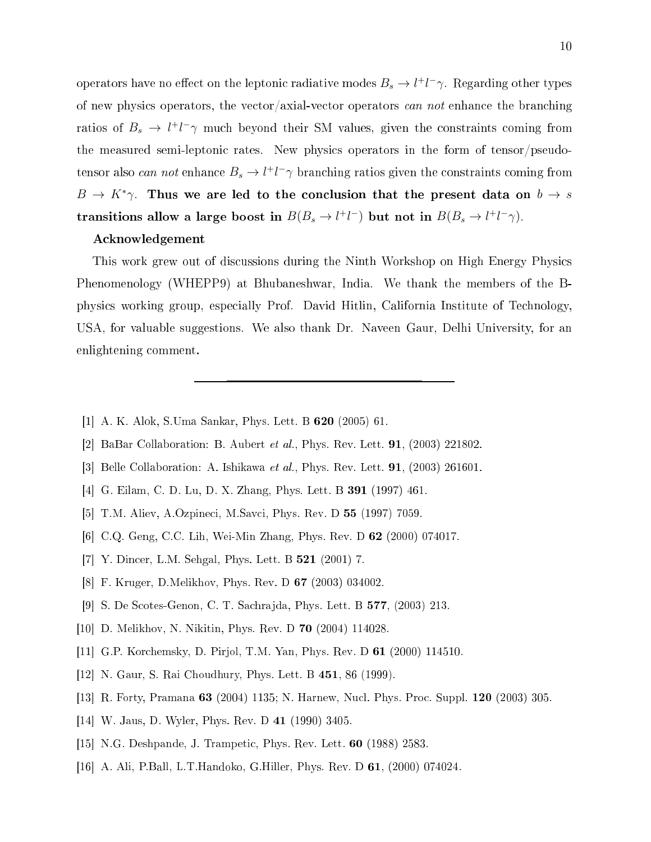operators have no effect on the leptonic radiative modes  $B_s \to l^+l^-\gamma$ . Regarding other types of new physics operators, the vector/axial-vector operators can not enhance the branching ratios of  $B_s \to l^+l^-\gamma$  much beyond their SM values, given the constraints coming from the measured semi-leptonic rates. New physics operators in the form of tensor/pseudotensor also *can not* enhance  $B_s \to l^+l^-\gamma$  branching ratios given the constraints coming from  $B \to K^*\gamma$ . Thus we are led to the conclusion that the present data on  $b \to s$ transitions allow a large boost in  $B(B_s \to l^+l^-)$  but not in  $B(B_s \to l^+l^-\gamma)$ .

## A
knowledgement

This work grew out of discussions during the Ninth Workshop on High Energy Physics Phenomenology (WHEPP9) at Bhubaneshwar, India. We thank the members of the Bphysi
s working group, espe
ially Prof. David Hitlin, California Institute of Te
hnology, USA, for valuable suggestions. We also thank Dr. Naveen Gaur, Delhi University, for an enlightening omment.

- [1] A. K. Alok, S.Uma Sankar, Phys. Lett. B  $620$  (2005) 61.
- [2] BaBar Collaboration: B. Aubert et al., Phys. Rev. Lett.  $91, (2003)$  221802.
- [3] Belle Collaboration: A. Ishikawa et al., Phys. Rev. Lett.  $91$ , (2003) 261601.
- [4] G. Eilam, C. D. Lu, D. X. Zhang, Phys. Lett. B 391 (1997) 461.
- [5] T.M. Aliev, A.Ozpineci, M.Savci, Phys. Rev. D 55 (1997) 7059.
- [6] C.Q. Geng, C.C. Lih, Wei-Min Zhang, Phys. Rev. D  $62$  (2000) 074017.
- [7] Y. Dincer, L.M. Sehgal, Phys. Lett. B **521** (2001) 7.
- [8] F. Kruger, D.Melikhov, Phys. Rev. D 67 (2003) 034002.
- [9] S. De Scotes-Genon, C. T. Sachrajda, Phys. Lett. B 577, (2003) 213.
- [10] D. Melikhov, N. Nikitin, Phys. Rev. D 70 (2004)  $114028$ .
- [11] G.P. Korchemsky, D. Pirjol, T.M. Yan, Phys. Rev. D 61 (2000) 114510.
- [12] N. Gaur, S. Rai Choudhury, Phys. Lett. B  $451$ , 86 (1999).
- [13] R. Forty, Pramana 63 (2004) 1135; N. Harnew, Nucl. Phys. Proc. Suppl. 120 (2003) 305.
- [14] W. Jaus, D. Wyler, Phys. Rev. D  $41$  (1990) 3405.
- [15] N.G. Deshpande, J. Trampetic, Phys. Rev. Lett.  $60$  (1988) 2583.
- [16] A. Ali, P.Ball, L.T.Handoko, G.Hiller, Phys. Rev. D 61, (2000) 074024.